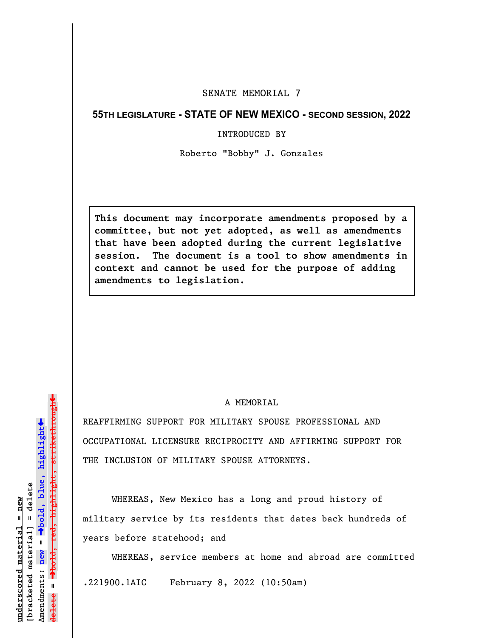## SENATE MEMORIAL 7

## **55TH LEGISLATURE - STATE OF NEW MEXICO - SECOND SESSION, 2022**

## INTRODUCED BY

Roberto "Bobby" J. Gonzales

**This document may incorporate amendments proposed by a committee, but not yet adopted, as well as amendments that have been adopted during the current legislative session. The document is a tool to show amendments in context and cannot be used for the purpose of adding amendments to legislation.**

## A MEMORTAL

REAFFIRMING SUPPORT FOR MILITARY SPOUSE PROFESSIONAL AND OCCUPATIONAL LICENSURE RECIPROCITY AND AFFIRMING SUPPORT FOR THE INCLUSION OF MILITARY SPOUSE ATTORNEYS.

WHEREAS, New Mexico has a long and proud history of military service by its residents that dates back hundreds of years before statehood; and

WHEREAS, service members at home and abroad are committed .221900.1AIC February 8, 2022 (10:50am)

»º**bold, red, highlight, strikethrough** <del>highlight,strikethrou</del>  $\ddot{\bullet}$ º**bold, blue, highlight**  $b$ racketed material] = delete **[bracketed material] = delete** inderscored material = new **underscored material = new** Amendments: new = Amendments: **new** =  $\mathbf{I}$ **delete =** lelete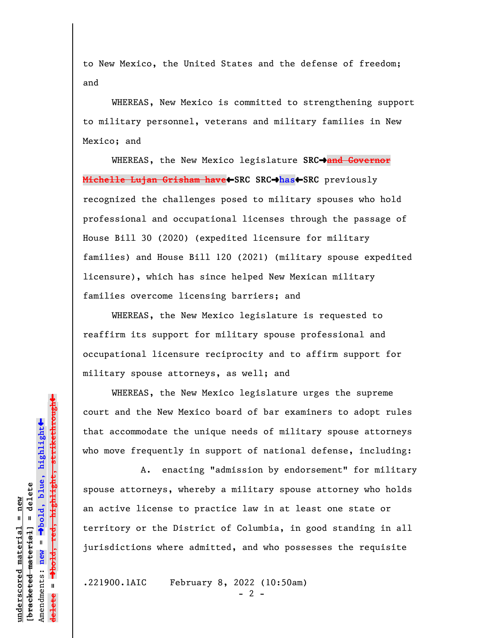to New Mexico, the United States and the defense of freedom; and

WHEREAS, New Mexico is committed to strengthening support to military personnel, veterans and military families in New Mexico; and

WHEREAS, the New Mexico legislature SRC<sup>+</sup>and Governor **Michelle Lujan Grisham have**»**SRC SRC**º**has**»**SRC** previously recognized the challenges posed to military spouses who hold professional and occupational licenses through the passage of House Bill 30 (2020) (expedited licensure for military families) and House Bill 120 (2021) (military spouse expedited licensure), which has since helped New Mexican military families overcome licensing barriers; and

WHEREAS, the New Mexico legislature is requested to reaffirm its support for military spouse professional and occupational licensure reciprocity and to affirm support for military spouse attorneys, as well; and

WHEREAS, the New Mexico legislature urges the supreme court and the New Mexico board of bar examiners to adopt rules that accommodate the unique needs of military spouse attorneys who move frequently in support of national defense, including:

A. enacting "admission by endorsement" for military spouse attorneys, whereby a military spouse attorney who holds an active license to practice law in at least one state or territory or the District of Columbia, in good standing in all jurisdictions where admitted, and who possesses the requisite

.221900.1AIC February 8, 2022 (10:50am)

» $\rightarrow$ bold, red, highlight, strikethrough º**bold, red, highlight, strikethrough**  $\ddot{\bullet}$ º**bold, blue, highlight** bracketed material] = delete **[bracketed material] = delete** inderscored material = new **underscored material = new** Amendments: **new** =  $\mathbf{u}$ Amendments: new **delete =**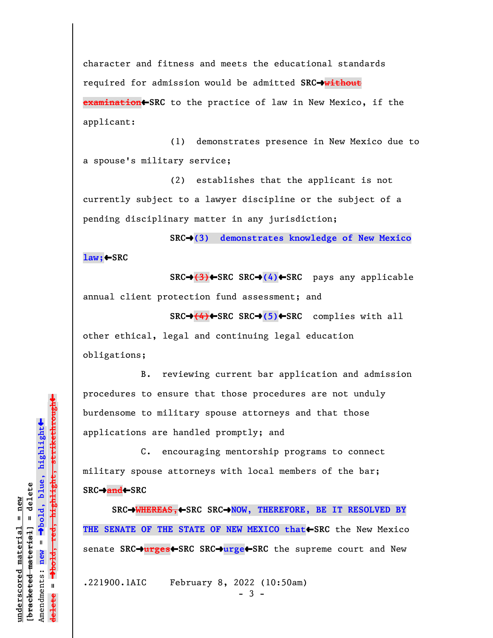character and fitness and meets the educational standards required for admission would be admitted **SRC**º**without examination**»**SRC** to the practice of law in New Mexico, if the applicant:

(1) demonstrates presence in New Mexico due to a spouse's military service;

(2) establishes that the applicant is not currently subject to a lawyer discipline or the subject of a pending disciplinary matter in any jurisdiction;

**SRC**º**(3) demonstrates knowledge of New Mexico law;**»**SRC**

**SRC**º**(3)**»**SRC SRC**º**(4)**»**SRC** pays any applicable annual client protection fund assessment; and

**SRC→(4)←SRC SRC→(5)←SRC** complies with all

other ethical, legal and continuing legal education obligations;

B. reviewing current bar application and admission procedures to ensure that those procedures are not unduly burdensome to military spouse attorneys and that those applications are handled promptly; and

C. encouraging mentorship programs to connect military spouse attorneys with local members of the bar; **SRC**º**and**»**SRC**

**SRC→WHEREAS,←SRC SRC→NOW, THEREFORE, BE IT RESOLVED BY THE SENATE OF THE STATE OF NEW MEXICO that SRC** the New Mexico senate **SRC**º**urges**»**SRC SRC**º**urge**»**SRC** the supreme court and New

.221900.1AIC February 8, 2022 (10:50am)

 $\ddag$ º**bold, red, highlight, strikethrough**  $\ddot{\bullet}$ º**bold, blue, highlight** bracketed material] = delete **[bracketed material] = delete** inderscored material = new **underscored material = new** Amendments: new = Amendments: **new** = **delete =**